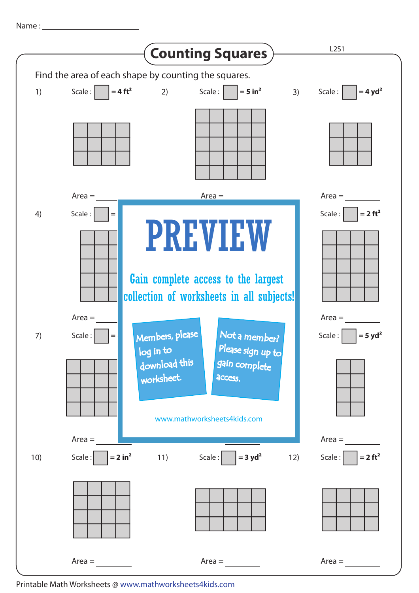